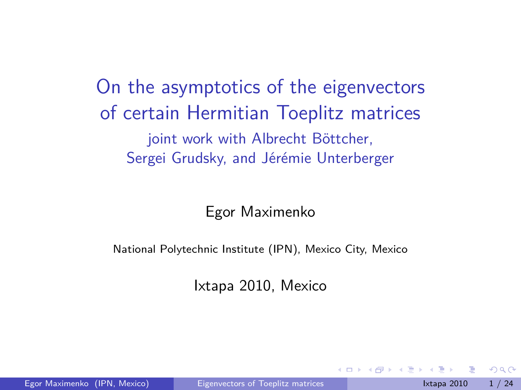On the asymptotics of the eigenvectors of certain Hermitian Toeplitz matrices joint work with Albrecht Böttcher, Sergei Grudsky, and Jérémie Unterberger

Egor Maximenko

National Polytechnic Institute (IPN), Mexico City, Mexico

<span id="page-0-0"></span>Ixtapa 2010, Mexico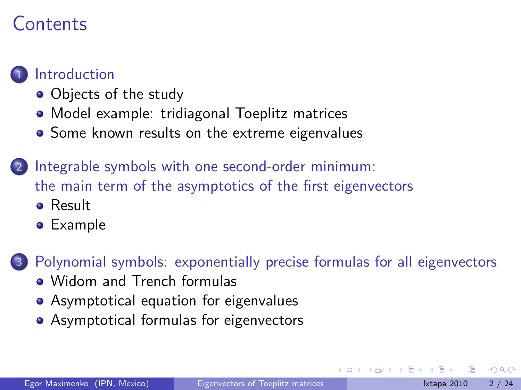### Contents

#### **[Introduction](#page-2-0)**

- [Objects of the study](#page-3-0)
- [Model example: tridiagonal Toeplitz matrices](#page-5-0)
- [Some known results on the extreme eigenvalues](#page-13-0)
- [Integrable symbols with one second-order minimum:](#page-18-0) [the main term of the asymptotics of the first eigenvectors](#page-18-0)
	- **•** [Result](#page-19-0)
	- **•** [Example](#page-20-0)

[Polynomial symbols: exponentially precise formulas for all eigenvectors](#page-22-0)

- [Widom and Trench formulas](#page-23-0)
- [Asymptotical equation for eigenvalues](#page-24-0)
- [Asymptotical formulas for eigenvectors](#page-30-0)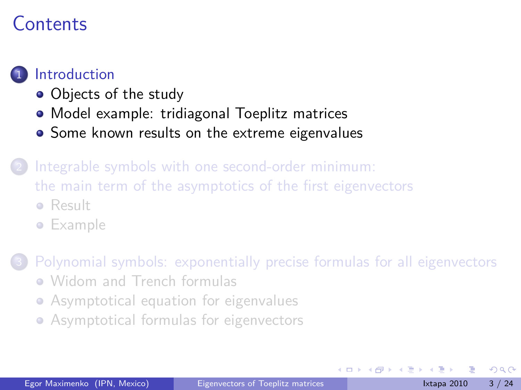### Contents

#### **[Introduction](#page-2-0)**

- [Objects of the study](#page-3-0)
- [Model example: tridiagonal Toeplitz matrices](#page-5-0)
- [Some known results on the extreme eigenvalues](#page-13-0)
- [Integrable symbols with one second-order minimum:](#page-18-0) [the main term of the asymptotics of the first eigenvectors](#page-18-0)
	- **•** [Result](#page-19-0)
	- **•** [Example](#page-20-0)

[Polynomial symbols: exponentially precise formulas for all eigenvectors](#page-22-0)

- [Widom and Trench formulas](#page-23-0)
- [Asymptotical equation for eigenvalues](#page-24-0)
- <span id="page-2-0"></span>[Asymptotical formulas for eigenvectors](#page-30-0)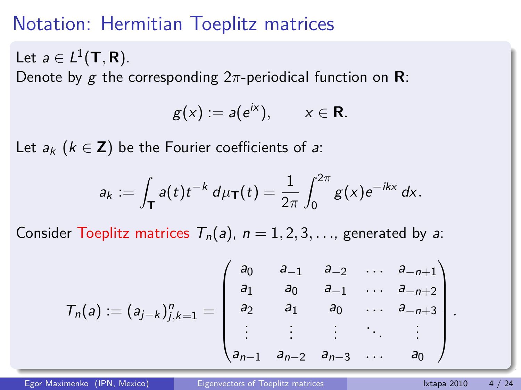## Notation: Hermitian Toeplitz matrices

Let  $a \in L^1(\mathsf{T},\mathsf{R})$ . Denote by g the corresponding 2*π*-periodical function on **R**:

$$
g(x) := a(e^{ix}), \qquad x \in \mathbf{R}.
$$

Let  $a_k$  ( $k \in \mathbb{Z}$ ) be the Fourier coefficients of a:

$$
a_k := \int_{\mathsf{T}} a(t) t^{-k} \, d\mu_{\mathsf{T}}(t) = \frac{1}{2\pi} \int_0^{2\pi} g(x) e^{-ikx} \, dx.
$$

Consider Toeplitz matrices  $T_n(a)$ ,  $n = 1, 2, 3, \ldots$ , generated by a:

$$
T_n(a) := (a_{j-k})_{j,k=1}^n = \begin{pmatrix} a_0 & a_{-1} & a_{-2} & \dots & a_{-n+1} \\ a_1 & a_0 & a_{-1} & \dots & a_{-n+2} \\ a_2 & a_1 & a_0 & \dots & a_{-n+3} \\ \vdots & \vdots & \vdots & \ddots & \vdots \\ a_{n-1} & a_{n-2} & a_{n-3} & \dots & a_0 \end{pmatrix}
$$

<span id="page-3-0"></span>*.*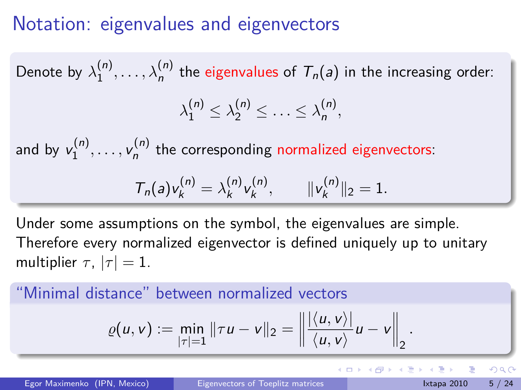### Notation: eigenvalues and eigenvectors

Denote by  $\lambda_1^{(n)}$  $\lambda_1^{(n)},\ldots,\lambda_n^{(n)}$  the eigenvalues of  $\mathcal{T}_n(a)$  in the increasing order:  $\lambda_1^{(n)} \leq \lambda_2^{(n)} \leq \ldots \leq \lambda_n^{(n)}$ n *,* and by  $v_1^{(n)}$  $y_1^{(n)}, \ldots, y_n^{(n)}$  $n_n^{(1)}$  the corresponding normalized eigenvectors:  $T_n(a)v_k^{(n)} = \lambda_k^{(n)}$  $\binom{n}{k}$ v $\binom{n}{k}$  $\begin{array}{ccc} \n\binom{n}{k}, & \quad \text{ } \|v_k^{(n)}\| \n\end{array}$  $\| \mathbf{z}^{(n)} \|_2 = 1.$ 

Under some assumptions on the symbol, the eigenvalues are simple. Therefore every normalized eigenvector is defined uniquely up to unitary multiplier  $\tau$ ,  $|\tau| = 1$ .

#### "Minimal distance" between normalized vectors

$$
\varrho(u,v) := \min_{|\tau|=1} \|\tau u - v\|_2 = \left\| \frac{\langle u, v \rangle}{\langle u, v \rangle} u - v \right\|_2.
$$

Egor Maximenko (IPN, Mexico) [Eigenvectors of Toeplitz matrices](#page-0-0) International Letter and Strapa 2010 5 / 24

<span id="page-4-0"></span>K ロ ▶ K 個 ▶ K 로 ▶ K 로 ▶ 『로 『 YO Q @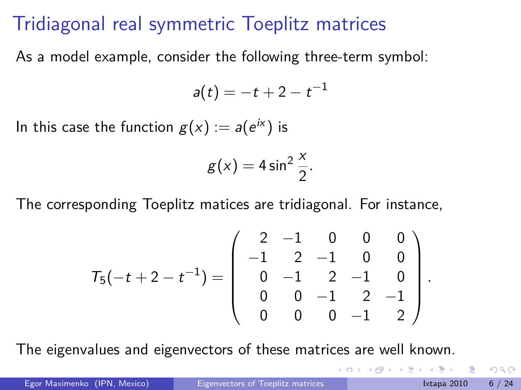### Tridiagonal real symmetric Toeplitz matrices

As a model example, consider the following three-term symbol:

$$
a(t)=-t+2-t^{-1}
$$

In this case the function  $g(x):=a(e^{i x})$  is

$$
g(x)=4\sin^2\frac{x}{2}.
$$

The corresponding Toeplitz matices are tridiagonal. For instance,

$$
\mathcal{T}_5(-t+2-t^{-1}) = \left(\begin{array}{cccc}2 & -1 & 0 & 0 & 0 \\-1 & 2 & -1 & 0 & 0 \\0 & -1 & 2 & -1 & 0 \\0 & 0 & -1 & 2 & -1 \\0 & 0 & 0 & -1 & 2\end{array}\right).
$$

The eigenvalues and eigenvectors of these matrices are well known.

<span id="page-5-0"></span> $200$ 

(□ ) (包 )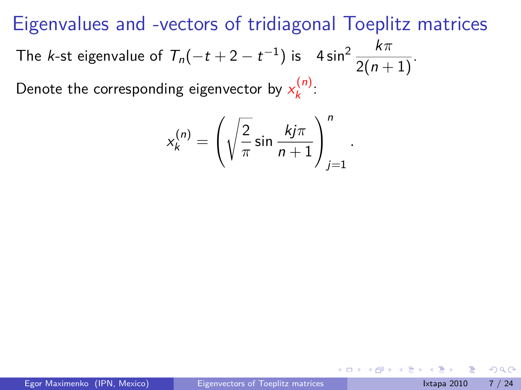$$
x_k^{(n)} = \left(\sqrt{\frac{2}{\pi}} \sin \frac{k j \pi}{n+1}\right)_{j=1}^n
$$

*.*

 $\Omega$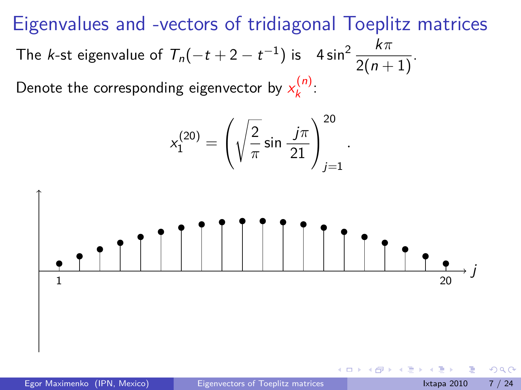$$
x_1^{(20)} = \left(\sqrt{\frac{2}{\pi}}\sin\frac{j\pi}{21}\right)_{j=1}^{20}
$$

*.*



Egor Maximenko (IPN, Mexico) [Eigenvectors of Toeplitz matrices](#page-0-0) International Library 2010 7/24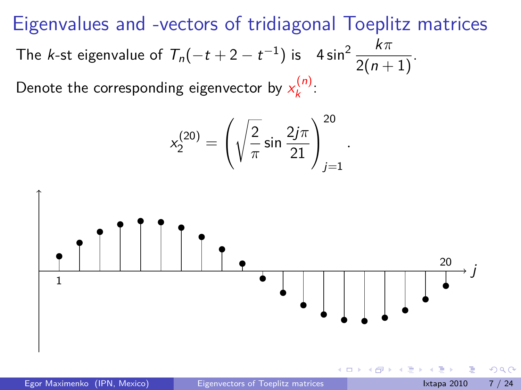$$
x_2^{(20)} = \left(\sqrt{\frac{2}{\pi}}\sin\frac{2j\pi}{21}\right)_{j=1}^{20}
$$

*.*

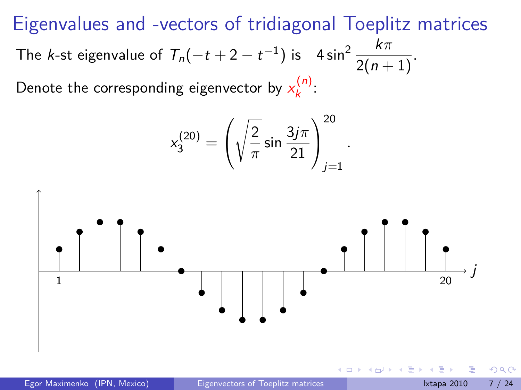$$
x_3^{(20)} = \left(\sqrt{\frac{2}{\pi}}\sin\frac{3j\pi}{21}\right)_{j=1}^{20}
$$

*.*



Egor Maximenko (IPN, Mexico) [Eigenvectors of Toeplitz matrices](#page-0-0) International Library 2010 7/24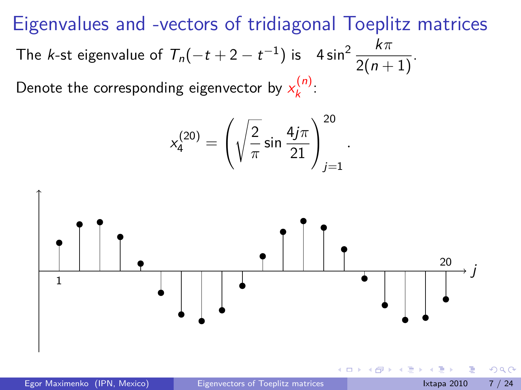$$
x_4^{(20)} = \left(\sqrt{\frac{2}{\pi}}\sin\frac{4j\pi}{21}\right)_{j=1}^{20}
$$

*.*

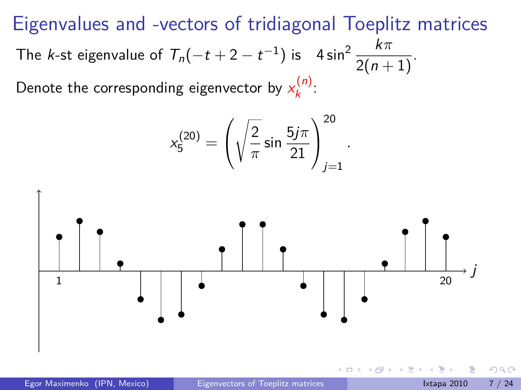$$
x_5^{(20)} = \left(\sqrt{\frac{2}{\pi}}\sin\frac{5j\pi}{21}\right)_{j=1}^{20}
$$

*.*



Egor Maximenko (IPN, Mexico) [Eigenvectors of Toeplitz matrices](#page-0-0) International Library 2010 7/24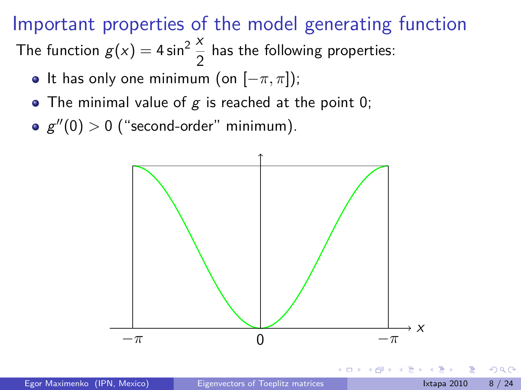## Important properties of the model generating function

The function  $g(x) = 4 \sin^2 \frac{x}{2}$  $\frac{1}{2}$  has the following properties:

- It has only one minimum (on [*−π, π*]);
- The minimal value of  $g$  is reached at the point 0;
- $g''(0) > 0$  ("second-order" minimum).



<span id="page-12-0"></span> $\Omega$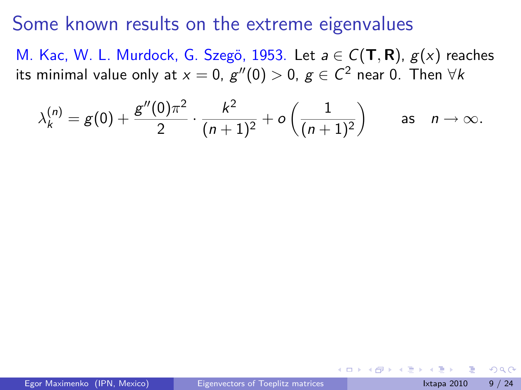#### Some known results on the extreme eigenvalues

M. Kac, W. L. Murdock, G. Szegö, 1953. Let *a* ∈ C(**T**, **R**),  $g(x)$  reaches its minimal value only at  $x=0$ ,  $g''(0)>0$ ,  $g\in \mathcal{C}^2$  near  $0.$  Then  $\forall k$ 

$$
\lambda_k^{(n)} = g(0) + \frac{g''(0)\pi^2}{2} \cdot \frac{k^2}{(n+1)^2} + o\left(\frac{1}{(n+1)^2}\right) \quad \text{as} \quad n \to \infty.
$$

<span id="page-13-0"></span> $\Omega$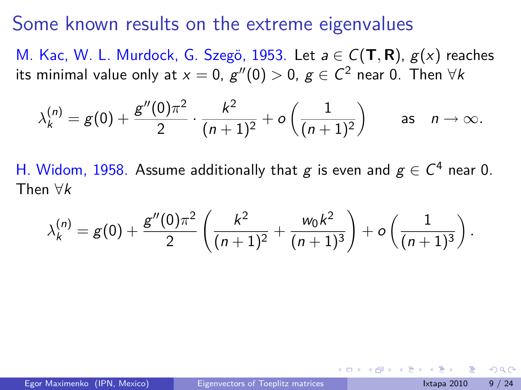#### Some known results on the extreme eigenvalues

M. Kac, W. L. Murdock, G. Szegö, 1953. Let a ∈ C(**T**, **R**),  $g(x)$  reaches its minimal value only at  $x=0$ ,  $g''(0)>0$ ,  $g\in \mathcal{C}^2$  near  $0.$  Then  $\forall k$ 

$$
\lambda_k^{(n)} = g(0) + \frac{g''(0)\pi^2}{2} \cdot \frac{k^2}{(n+1)^2} + o\left(\frac{1}{(n+1)^2}\right) \quad \text{as} \quad n \to \infty.
$$

H. Widom, 1958. Assume additionally that  $g$  is even and  $g \in \mathcal{C}^4$  near 0. Then *∀*k

<span id="page-14-0"></span>
$$
\lambda_k^{(n)}=g(0)+\frac{g''(0)\pi^2}{2}\left(\frac{k^2}{(n+1)^2}+\frac{w_0k^2}{(n+1)^3}\right)+o\left(\frac{1}{(n+1)^3}\right).
$$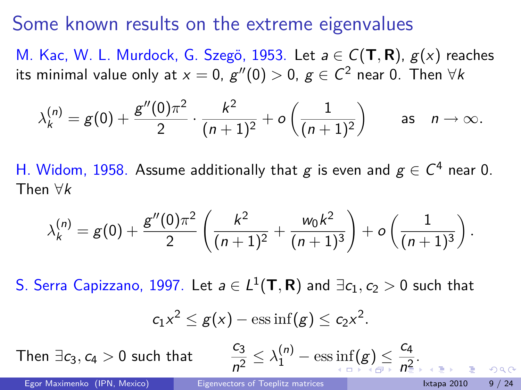#### Some known results on the extreme eigenvalues

M. Kac, W. L. Murdock, G. Szegö, 1953. Let a ∈ C(**T**, **R**),  $g(x)$  reaches its minimal value only at  $x=0$ ,  $g''(0)>0$ ,  $g\in \mathcal{C}^2$  near  $0.$  Then  $\forall k$ 

$$
\lambda_k^{(n)}=g(0)+\frac{g''(0)\pi^2}{2}\cdot\frac{k^2}{(n+1)^2}+o\left(\frac{1}{(n+1)^2}\right)\qquad\text{as}\quad n\to\infty.
$$

H. Widom, 1958. Assume additionally that  $g$  is even and  $g \in \mathcal{C}^4$  near 0. Then *∀*k

$$
\lambda_k^{(n)}=g(0)+\frac{g''(0)\pi^2}{2}\left(\frac{k^2}{(n+1)^2}+\frac{w_0k^2}{(n+1)^3}\right)+o\left(\frac{1}{(n+1)^3}\right).
$$

 $\mathsf{S}.$  Serra Capizzano, 1997. Let  $\mathsf{a}\in L^1(\mathsf{T},\mathsf{R})$  and  $\exists c_1,c_2>0$  such that

$$
c_1x^2 \leq g(x) - \operatorname{ess\,inf}(g) \leq c_2x^2.
$$

Then  $\exists c_3, c_4 > 0$  such that

 $\frac{c_3}{n^2} \leq \lambda_1^{(n)} - \text{ess}\inf_{\epsilon \in \mathbb{R}^+} (g) \leq \frac{c_4}{n^2}$  $\frac{c_3}{n^2} \leq \lambda_1^{(n)} - \text{ess}\inf_{\epsilon \in \mathbb{R}^+} (g) \leq \frac{c_4}{n^2}$  $\frac{c_3}{n^2} \leq \lambda_1^{(n)} - \text{ess}\inf_{\epsilon \in \mathbb{R}^+} (g) \leq \frac{c_4}{n^2}$  $\frac{c_3}{n^2} \leq \lambda_1^{(n)} - \text{ess}\inf_{\epsilon \in \mathbb{R}^+} (g) \leq \frac{c_4}{n^2}$  $\frac{c_3}{n^2} \leq \lambda_1^{(n)} - \text{ess}\inf_{\epsilon \in \mathbb{R}^+} (g) \leq \frac{c_4}{n^2}$ 

<span id="page-15-0"></span> $rac{a}{n^2}$  $rac{a}{n^2}$  $rac{a}{n^2}$  $rac{a}{n^2}$  $rac{a}{n^2}$ [.](#page-18-0)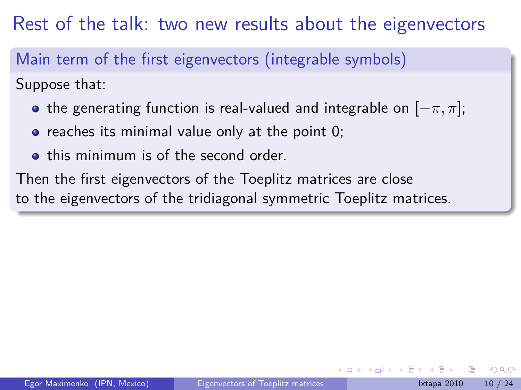Rest of the talk: two new results about the eigenvectors

Main term of the first eigenvectors (integrable symbols)

Suppose that:

- **•** the generating function is real-valued and integrable on  $[-\pi, \pi]$ ;
- $\bullet$  reaches its minimal value only at the point 0;
- **•** this minimum is of the second order.

Then the first eigenvectors of the Toeplitz matrices are close to the eigenvectors of the tridiagonal symmetric Toeplitz matrices.

<span id="page-16-0"></span>つひひ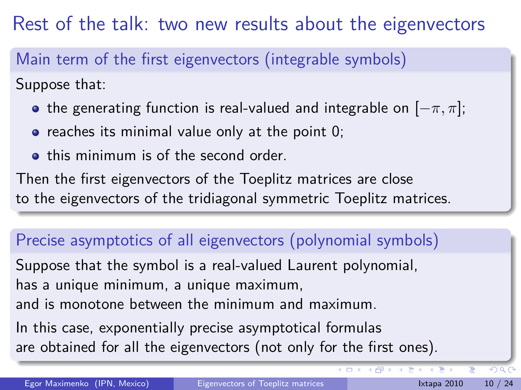Rest of the talk: two new results about the eigenvectors

Main term of the first eigenvectors (integrable symbols)

Suppose that:

- **•** the generating function is real-valued and integrable on  $[-\pi, \pi]$ ;
- $\bullet$  reaches its minimal value only at the point 0;
- **•** this minimum is of the second order.

Then the first eigenvectors of the Toeplitz matrices are close to the eigenvectors of the tridiagonal symmetric Toeplitz matrices.

## Precise asymptotics of all eigenvectors (polynomial symbols)

Suppose that the symbol is a real-valued Laurent polynomial, has a unique minimum, a unique maximum,

and is monotone between the minimum and maximum.

In this case, exponentially precise asymptotical formulas are obtained for all the eigenvectors (not only for the first ones).

<span id="page-17-0"></span> $QQ$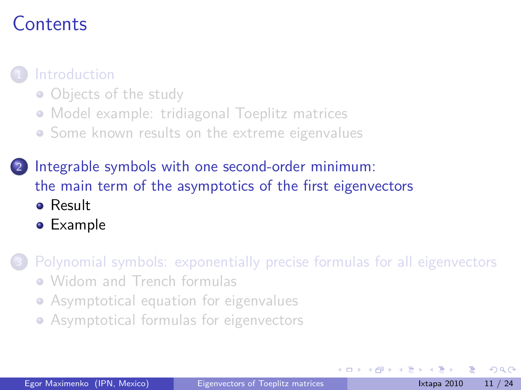## Contents

#### **[Introduction](#page-2-0)**

- [Objects of the study](#page-3-0)
- [Model example: tridiagonal Toeplitz matrices](#page-5-0)
- [Some known results on the extreme eigenvalues](#page-13-0)
- [Integrable symbols with one second-order minimum:](#page-18-0) [the main term of the asymptotics of the first eigenvectors](#page-18-0)
	- **•** [Result](#page-19-0)
	- [Example](#page-20-0)

[Polynomial symbols: exponentially precise formulas for all eigenvectors](#page-22-0)

- [Widom and Trench formulas](#page-23-0)
- [Asymptotical equation for eigenvalues](#page-24-0)
- <span id="page-18-0"></span>[Asymptotical formulas for eigenvectors](#page-30-0)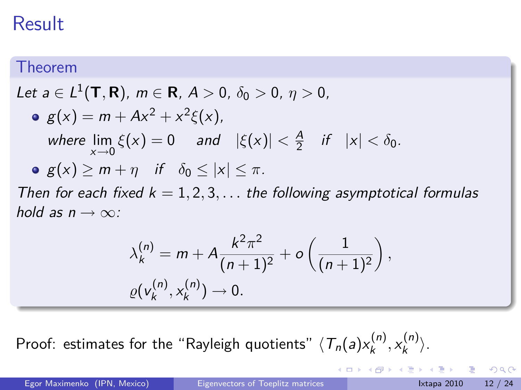## Result

#### Theorem

Let 
$$
a \in L^1(\mathbf{T}, \mathbf{R})
$$
,  $m \in \mathbf{R}$ ,  $A > 0$ ,  $\delta_0 > 0$ ,  $\eta > 0$ ,  
\n•  $g(x) = m + Ax^2 + x^2 \xi(x)$ ,  
\nwhere  $\lim_{x \to 0} \xi(x) = 0$  and  $|\xi(x)| < \frac{A}{2}$  if  $|x| < \delta_0$ .  
\n•  $g(x) \ge m + \eta$  if  $\delta_0 \le |x| \le \pi$ .

Then for each fixed  $k = 1, 2, 3, \ldots$  the following asymptotical formulas hold as  $n \rightarrow \infty$ :

$$
\lambda_k^{(n)} = m + A \frac{k^2 \pi^2}{(n+1)^2} + o\left(\frac{1}{(n+1)^2}\right),
$$
  
 
$$
\varrho(v_k^{(n)}, x_k^{(n)}) \to 0.
$$

Proof: estimates for the "Rayleigh quotients"  $\langle\, T_n(a) x_k^{(n)}\,\rangle$ k *,* x (n) k *i*.

<span id="page-19-0"></span>K ロ ▶ K 個 ▶ K 로 ▶ K 로 ▶ - 로 - K 9 Q @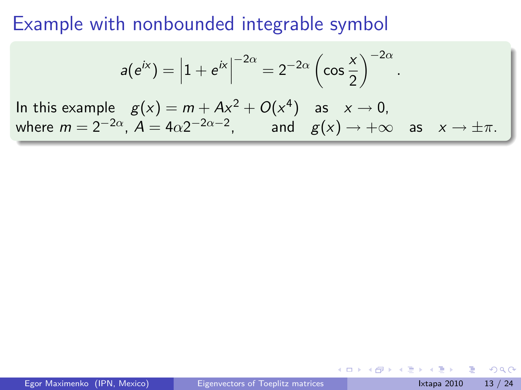#### Example with nonbounded integrable symbol

$$
a(e^{ix}) = |1 + e^{ix}|^{-2\alpha} = 2^{-2\alpha} \left(\cos{\frac{x}{2}}\right)^{-2\alpha}.
$$
  
In this example  $g(x) = m + Ax^2 + O(x^4)$  as  $x \to 0$ ,  
where  $m = 2^{-2\alpha}, A = 4\alpha 2^{-2\alpha - 2}$ , and  $g(x) \to +\infty$  as  $x \to \pm \pi$ .

4 0 8

<span id="page-20-0"></span>∢ 何 ▶ - ∢ ∃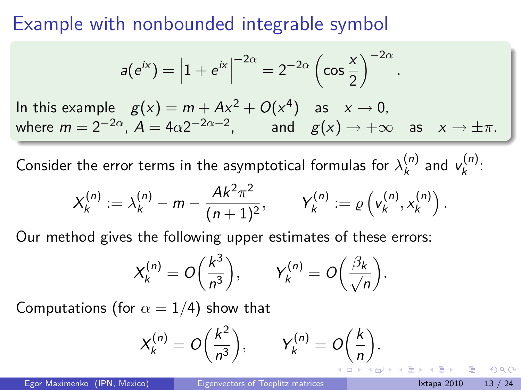#### Example with nonbounded integrable symbol

$$
a(e^{ix}) = |1 + e^{ix}|^{-2\alpha} = 2^{-2\alpha} \left(\cos{\frac{x}{2}}\right)^{-2\alpha}.
$$
  
In this example  $g(x) = m + Ax^2 + O(x^4)$  as  $x \to 0$ ,  
where  $m = 2^{-2\alpha}$ ,  $A = 4\alpha 2^{-2\alpha - 2}$ , and  $g(x) \to +\infty$  as  $x \to \pm \pi$ .

Consider the error terms in the asymptotical formulas for  $\lambda_k^{(n)}$  $\binom{n}{k}$  and  $v_k^{(n)}$ ,(").<br>k

$$
X_k^{(n)} := \lambda_k^{(n)} - m - \frac{Ak^2\pi^2}{(n+1)^2}, \qquad Y_k^{(n)} := \varrho\left(v_k^{(n)}, x_k^{(n)}\right).
$$

Our method gives the following upper estimates of these errors:

$$
X_k^{(n)} = O\left(\frac{k^3}{n^3}\right), \qquad Y_k^{(n)} = O\left(\frac{\beta_k}{\sqrt{n}}\right).
$$

Computations (for  $\alpha = 1/4$ ) show that

$$
X_k^{(n)} = O\left(\frac{k^2}{n^3}\right), \qquad Y_k^{(n)} = O\left(\frac{k}{n}\right).
$$

 $\Omega$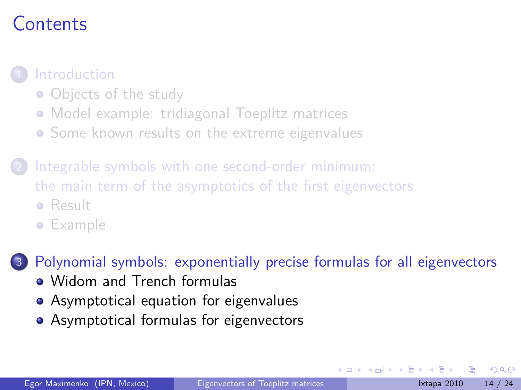## Contents

#### **[Introduction](#page-2-0)**

- [Objects of the study](#page-3-0)
- [Model example: tridiagonal Toeplitz matrices](#page-5-0)
- [Some known results on the extreme eigenvalues](#page-13-0)
- [Integrable symbols with one second-order minimum:](#page-18-0) [the main term of the asymptotics of the first eigenvectors](#page-18-0)
	- **•** [Result](#page-19-0)
	- **•** [Example](#page-20-0)

[Polynomial symbols: exponentially precise formulas for all eigenvectors](#page-22-0)

- [Widom and Trench formulas](#page-23-0)
- [Asymptotical equation for eigenvalues](#page-24-0)
- <span id="page-22-0"></span>[Asymptotical formulas for eigenvectors](#page-30-0)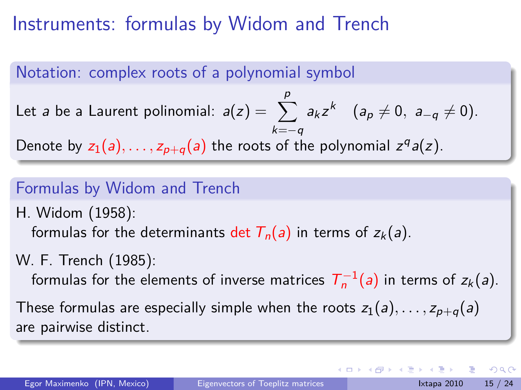### Instruments: formulas by Widom and Trench

#### Notation: complex roots of a polynomial symbol Let *a* be a Laurent polinomial:  $a(z) = \sum$ p k=*−*q  $a_k z^k$   $(a_p \neq 0, a_{-q} \neq 0).$ Denote by  $z_1(a),..., z_{p+q}(a)$  the roots of the polynomial  $z^q a(z)$ .

#### Formulas by Widom and Trench

H. Widom (1958): formulas for the determinants det  $T_n(a)$  in terms of  $z_k(a)$ .

W. F. Trench (1985):

formulas for the elements of inverse matrices  $T_n^{-1}(a)$  in terms of  $z_k(a)$ .

These formulas are especially simple when the roots  $z_1(a), \ldots, z_{p+q}(a)$ are pairwise distinct.

<span id="page-23-0"></span> $\Omega$ 

イロト イ押ト イヨト イヨト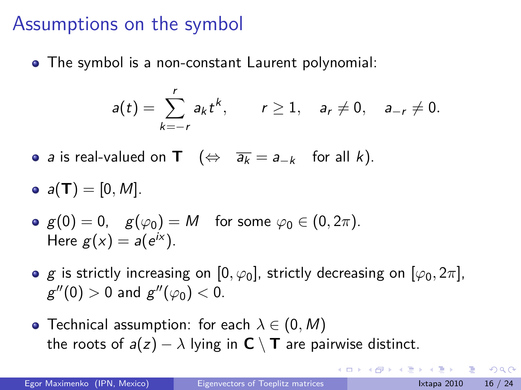### Assumptions on the symbol

The symbol is a non-constant Laurent polynomial:

$$
a(t) = \sum_{k=-r}^{r} a_{k} t^{k}, \qquad r \geq 1, \quad a_{r} \neq 0, \quad a_{-r} \neq 0.
$$

- *a* is real-valued on **T** ( $\Leftrightarrow \overline{a_k} = a_{-k}$  for all *k*).
- $a(T) = [0, M].$

• 
$$
g(0) = 0
$$
,  $g(\varphi_0) = M$  for some  $\varphi_0 \in (0, 2\pi)$ .  
Here  $g(x) = a(e^{ix})$ .

- **e** g is strictly increasing on  $[0, \varphi_0]$ , strictly decreasing on  $[\varphi_0, 2\pi]$ ,  $g''(0) > 0$  and  $g''(\varphi_0) < 0$ .
- Technical assumption: for each *λ ∈* (0*,* M) the roots of  $a(z) - \lambda$  lying in  $C \setminus T$  are pairwise distinct.

<span id="page-24-0"></span> $\Omega$ 

**K 御 ▶ K 君 ▶ K 君 ▶**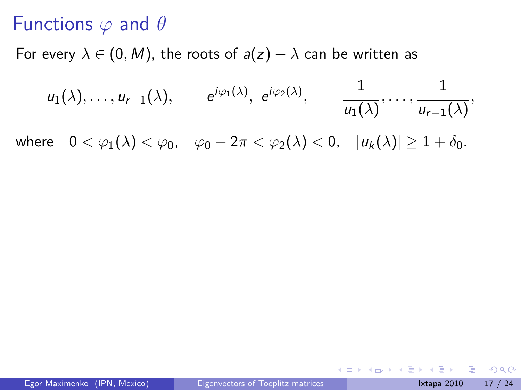### Functions *ϕ* and *θ*

For every  $\lambda \in (0, M)$ , the roots of  $a(z) - \lambda$  can be written as

$$
u_1(\lambda), \ldots, u_{r-1}(\lambda), \qquad e^{i\varphi_1(\lambda)}, e^{i\varphi_2(\lambda)}, \qquad \frac{1}{u_1(\lambda)}, \ldots, \frac{1}{u_{r-1}(\lambda)},
$$

where  $0 < \varphi_1(\lambda) < \varphi_0$ ,  $\varphi_0 - 2\pi < \varphi_2(\lambda) < 0$ ,  $|u_k(\lambda)| \geq 1 + \delta_0$ .

4 0 F

- 4 母 ▶ - 4 ヨ ▶ - 4 |

 $\equiv$   $\cap$   $\alpha$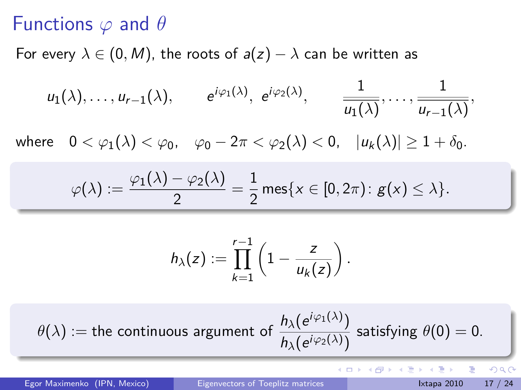#### Functions *ϕ* and *θ*

For every  $\lambda \in (0, M)$ , the roots of  $a(z) - \lambda$  can be written as

$$
u_1(\lambda), \ldots, u_{r-1}(\lambda), \qquad e^{i\varphi_1(\lambda)}, e^{i\varphi_2(\lambda)}, \qquad \frac{1}{u_1(\lambda)}, \ldots, \frac{1}{u_{r-1}(\lambda)},
$$

where  $0 < \varphi_1(\lambda) < \varphi_0$ ,  $\varphi_0 - 2\pi < \varphi_2(\lambda) < 0$ ,  $|u_k(\lambda)| \geq 1 + \delta_0$ .

$$
\varphi(\lambda) := \frac{\varphi_1(\lambda) - \varphi_2(\lambda)}{2} = \frac{1}{2} \operatorname{mes}\{x \in [0, 2\pi) : g(x) \leq \lambda\}.
$$

$$
h_{\lambda}(z) := \prod_{k=1}^{r-1} \left(1 - \frac{z}{u_k(z)}\right).
$$

 $\theta(\lambda) :=$  the continuous argument of  $\frac{h_{\lambda}(e^{i\varphi_1(\lambda)})}{h_{\lambda}(e^{i\varphi_1(\lambda)})}$  $\frac{n_{\lambda}(e^{i\varphi_2(\lambda)})}{n_{\lambda}(e^{i\varphi_2(\lambda)})}$  satisfying  $\theta(0) = 0$ .

 $\Rightarrow$ 

 $QQQ$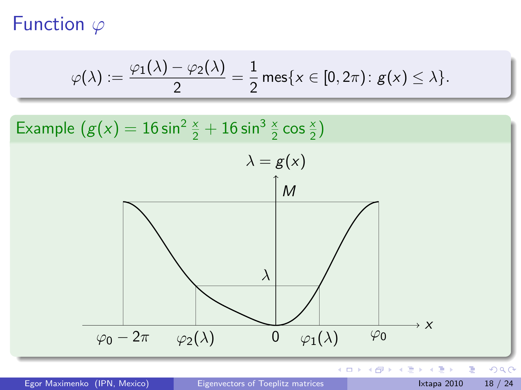### Function *ϕ*

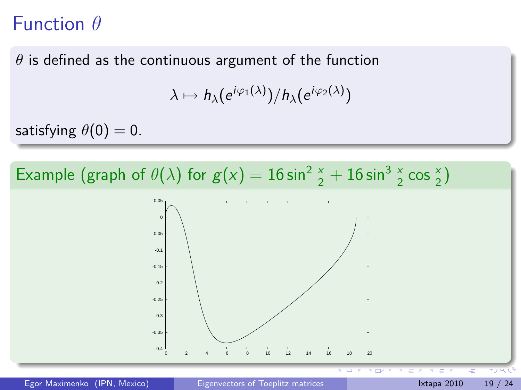#### Function *θ*

 $\theta$  is defined as the continuous argument of the function

$$
\lambda \mapsto h_{\lambda}(e^{i\varphi_1(\lambda)})/h_{\lambda}(e^{i\varphi_2(\lambda)})
$$

satisfying  $\theta(0) = 0$ .





Egor Maximenko (IPN, Mexico) [Eigenvectors of Toeplitz matrices](#page-0-0) Ixtapa 2010 19 / 24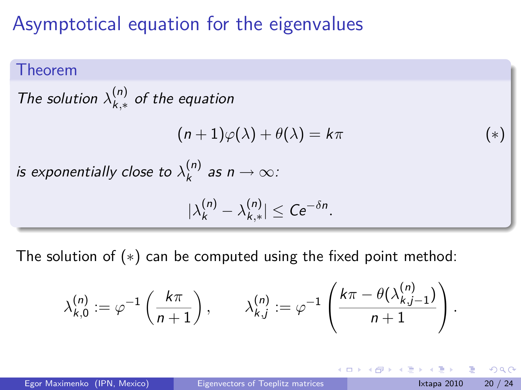### Asymptotical equation for the eigenvalues

#### Theorem

The solution  $\lambda_{k,*}^{(n)}$ k*,∗* of the equation  $(n+1)\varphi(\lambda) + \theta(\lambda) = k\pi$  (\*) is exponentially close to  $\lambda_k^{(n)}$  $\binom{n}{k}$  as  $n \to \infty$ :  $|\lambda_k^{(n)} - \lambda_{k,*}^{(n)}|$ k*,∗ | ≤* Ce*−δ*<sup>n</sup> *.*

The solution of (*∗*) can be computed using the fixed point method:

$$
\lambda_{k,0}^{(n)} := \varphi^{-1}\left(\frac{k\pi}{n+1}\right), \qquad \lambda_{k,j}^{(n)} := \varphi^{-1}\left(\frac{k\pi - \theta(\lambda_{k,j-1}^{(n)})}{n+1}\right).
$$

Egor Maximenko (IPN, Mexico) [Eigenvectors of Toeplitz matrices](#page-0-0) International Ixtapa 2010 20 / 24

 $QQQ$ 

→ 何 ▶ → ヨ ▶ → ヨ ▶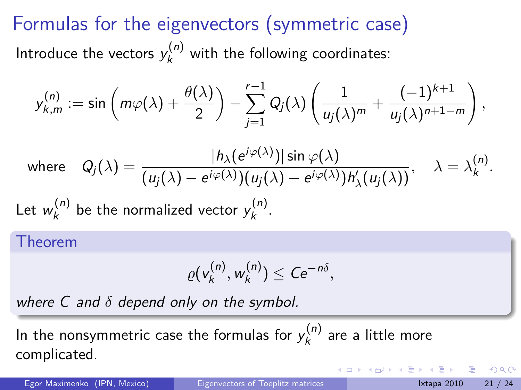# Formulas for the eigenvectors (symmetric case) Introduce the vectors  $y_k^{(n)}$  with the following coordinates:

$$
y_{k,m}^{(n)} := \sin\left(m\varphi(\lambda) + \frac{\theta(\lambda)}{2}\right) - \sum_{j=1}^{r-1} Q_j(\lambda) \left(\frac{1}{u_j(\lambda)^m} + \frac{(-1)^{k+1}}{u_j(\lambda)^{n+1-m}}\right),
$$

where 
$$
Q_j(\lambda) = \frac{|h_{\lambda}(e^{i\varphi(\lambda)})| \sin \varphi(\lambda)}{(u_j(\lambda) - e^{i\varphi(\lambda)})(u_j(\lambda) - e^{i\varphi(\lambda)})h'_{\lambda}(u_j(\lambda))}, \quad \lambda = \lambda_k^{(n)}.
$$

Let  $w_k^{(n)}$  $\boldsymbol{y}_k^{(n)}$  be the normalized vector  $\boldsymbol{y}_k^{(n)}$ ,(").<br>k

Theorem

<span id="page-30-0"></span>
$$
\varrho(v_k^{(n)}, w_k^{(n)}) \leq C e^{-n\delta},
$$

where C and *δ* depend only on the symbol.

In the nonsymmetric case the formulas for  $y^{(n)}_k$  $\kappa_k^{(n)}$  are a little more complicated.

Egor Maximenko (IPN, Mexico) [Eigenvectors of Toeplitz matrices](#page-0-0) International Ixtapa 2010 21 / 24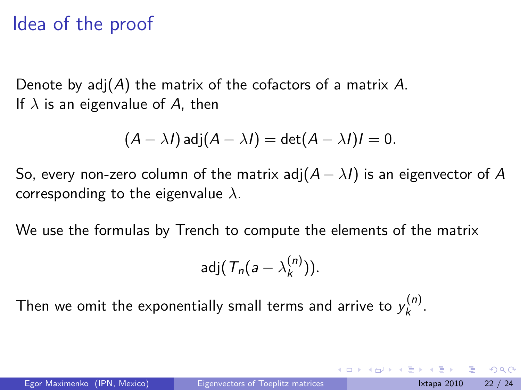### Idea of the proof

Denote by  $adj(A)$  the matrix of the cofactors of a matrix A. If  $\lambda$  is an eigenvalue of A, then

$$
(A - \lambda I) \operatorname{adj}(A - \lambda I) = \det(A - \lambda I)I = 0.
$$

So, every non-zero column of the matrix adj $(A - \lambda I)$  is an eigenvector of A corresponding to the eigenvalue *λ*.

We use the formulas by Trench to compute the elements of the matrix

$$
adj(\mathcal{T}_n(a-\lambda_k^{(n)})).
$$

Then we omit the exponentially small terms and arrive to  $y^{(n)}_k$ ,<sup>(11)</sup> .<br>k

つへへ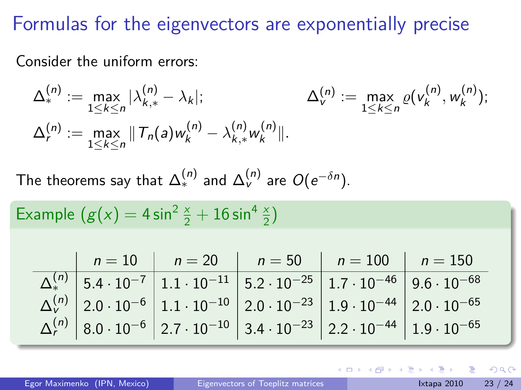### Formulas for the eigenvectors are exponentially precise

Consider the uniform errors:

$$
\Delta_{*}^{(n)} := \max_{1 \leq k \leq n} |\lambda_{k,*}^{(n)} - \lambda_k|; \qquad \Delta_{v}^{(n)} := \max_{1 \leq k \leq n} \varrho(v_k^{(n)}, w_k^{(n)});
$$
  

$$
\Delta_{r}^{(n)} := \max_{1 \leq k \leq n} ||T_n(a)w_k^{(n)} - \lambda_{k,*}^{(n)}w_k^{(n)}||.
$$

The theorems say that  $\Delta^{(n)}_*$  and  $\Delta^{(n)}_{\rm v}$  are  $O(e^{-\delta n})$ .

Example 
$$
(g(x) = 4 \sin^2 \frac{x}{2} + 16 \sin^4 \frac{x}{2})
$$

|  | $n = 10$   $n = 20$   $n = 50$   $n = 100$   $n = 150$                                                                                                                  |  |
|--|-------------------------------------------------------------------------------------------------------------------------------------------------------------------------|--|
|  | $\Delta_*^{(n)}$ 5.4 $\cdot$ 10 <sup>-7</sup> 1.1 $\cdot$ 10 <sup>-11</sup> 5.2 $\cdot$ 10 <sup>-25</sup> 1.7 $\cdot$ 10 <sup>-46</sup> 9.6 $\cdot$ 10 <sup>-68</sup>   |  |
|  | $\Delta_{V}^{(n)}$ 2.0 $\cdot$ 10 <sup>-6</sup> 1.1 $\cdot$ 10 <sup>-10</sup> 2.0 $\cdot$ 10 <sup>-23</sup> 1.9 $\cdot$ 10 <sup>-44</sup> 2.0 $\cdot$ 10 <sup>-65</sup> |  |
|  | $\Delta_r^{(n)}$ 8.0 $\cdot$ 10 <sup>-6</sup> 2.7 $\cdot$ 10 <sup>-10</sup> 3.4 $\cdot$ 10 <sup>-23</sup> 2.2 $\cdot$ 10 <sup>-44</sup> 1.9 $\cdot$ 10 <sup>-65</sup>   |  |

4 D F

 $\Omega$